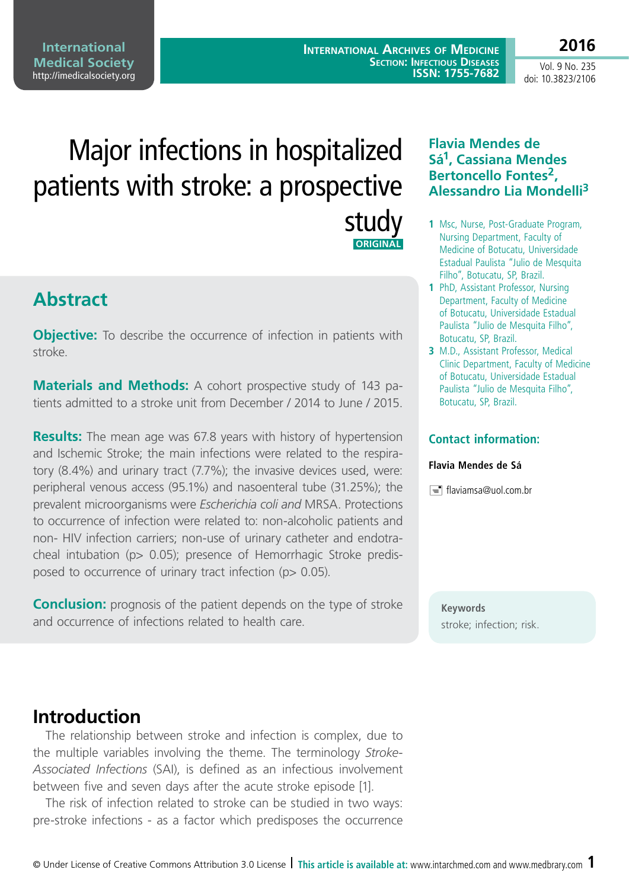**International Archives of Medicine Section: Infectious Diseases ISSN: 1755-7682**

Vol. 9 No. 235 doi: 10.3823/2106

**2016**

# Major infections in hospitalized patients with stroke: a prospective study  **ORIGINAL**

# **Abstract**

**Objective:** To describe the occurrence of infection in patients with stroke.

**Materials and Methods:** A cohort prospective study of 143 patients admitted to a stroke unit from December / 2014 to June / 2015.

**Results:** The mean age was 67.8 years with history of hypertension and Ischemic Stroke; the main infections were related to the respiratory (8.4%) and urinary tract (7.7%); the invasive devices used, were: peripheral venous access (95.1%) and nasoenteral tube (31.25%); the prevalent microorganisms were *Escherichia coli and* MRSA. Protections to occurrence of infection were related to: non-alcoholic patients and non- HIV infection carriers; non-use of urinary catheter and endotracheal intubation (p> 0.05); presence of Hemorrhagic Stroke predisposed to occurrence of urinary tract infection (p> 0.05).

**Conclusion:** prognosis of the patient depends on the type of stroke and occurrence of infections related to health care.

### **Flavia Mendes de Sá1, Cassiana Mendes Bertoncello Fontes2, Alessandro Lia Mondelli3**

- **1** Msc, Nurse, Post-Graduate Program, Nursing Department, Faculty of Medicine of Botucatu, Universidade Estadual Paulista "Julio de Mesquita Filho", Botucatu, SP, Brazil.
- **1** PhD, Assistant Professor, Nursing Department, Faculty of Medicine of Botucatu, Universidade Estadual Paulista "Julio de Mesquita Filho", Botucatu, SP, Brazil.
- **3** M.D., Assistant Professor, Medical Clinic Department, Faculty of Medicine of Botucatu, Universidade Estadual Paulista "Julio de Mesquita Filho", Botucatu, SP, Brazil.

#### **Contact information:**

#### **Flavia Mendes de Sá**

 $\equiv$  flaviamsa@uol.com.br

**Keywords** stroke; infection; risk.

### **Introduction**

The relationship between stroke and infection is complex, due to the multiple variables involving the theme. The terminology *Stroke-Associated Infections* (SAI), is defined as an infectious involvement between five and seven days after the acute stroke episode [1].

The risk of infection related to stroke can be studied in two ways: pre-stroke infections - as a factor which predisposes the occurrence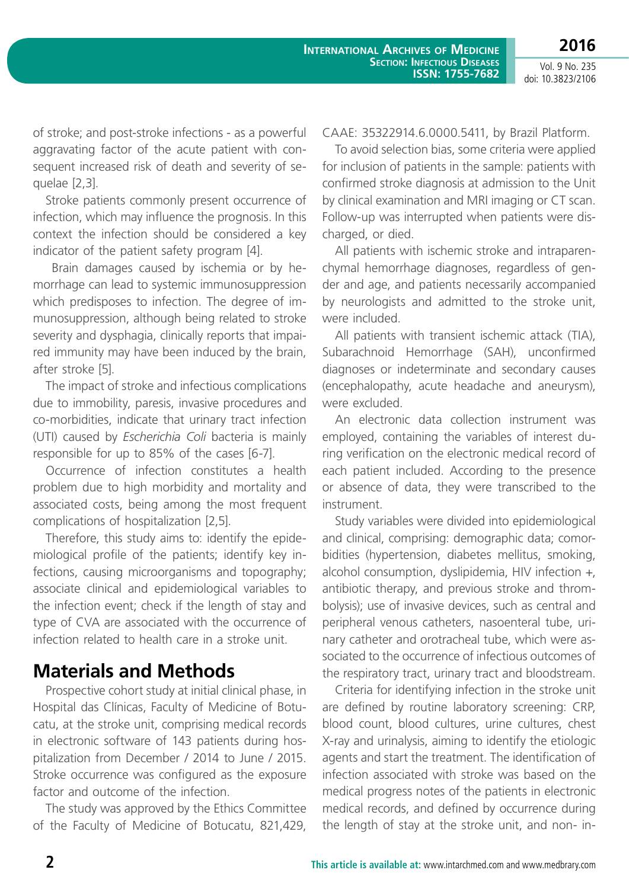doi: 10.3823/2106

of stroke; and post-stroke infections - as a powerful aggravating factor of the acute patient with consequent increased risk of death and severity of sequelae [2,3].

Stroke patients commonly present occurrence of infection, which may influence the prognosis. In this context the infection should be considered a key indicator of the patient safety program [4].

 Brain damages caused by ischemia or by hemorrhage can lead to systemic immunosuppression which predisposes to infection. The degree of immunosuppression, although being related to stroke severity and dysphagia, clinically reports that impaired immunity may have been induced by the brain, after stroke [5].

The impact of stroke and infectious complications due to immobility, paresis, invasive procedures and co-morbidities, indicate that urinary tract infection (UTI) caused by *Escherichia Coli* bacteria is mainly responsible for up to 85% of the cases [6-7].

Occurrence of infection constitutes a health problem due to high morbidity and mortality and associated costs, being among the most frequent complications of hospitalization [2,5].

Therefore, this study aims to: identify the epidemiological profile of the patients; identify key infections, causing microorganisms and topography; associate clinical and epidemiological variables to the infection event; check if the length of stay and type of CVA are associated with the occurrence of infection related to health care in a stroke unit.

## **Materials and Methods**

Prospective cohort study at initial clinical phase, in Hospital das Clínicas, Faculty of Medicine of Botucatu, at the stroke unit, comprising medical records in electronic software of 143 patients during hospitalization from December / 2014 to June / 2015. Stroke occurrence was configured as the exposure factor and outcome of the infection.

The study was approved by the Ethics Committee of the Faculty of Medicine of Botucatu, 821,429, CAAE: 35322914.6.0000.5411, by Brazil Platform.

To avoid selection bias, some criteria were applied for inclusion of patients in the sample: patients with confirmed stroke diagnosis at admission to the Unit by clinical examination and MRI imaging or CT scan. Follow-up was interrupted when patients were discharged, or died.

All patients with ischemic stroke and intraparenchymal hemorrhage diagnoses, regardless of gender and age, and patients necessarily accompanied by neurologists and admitted to the stroke unit, were included.

All patients with transient ischemic attack (TIA), Subarachnoid Hemorrhage (SAH), unconfirmed diagnoses or indeterminate and secondary causes (encephalopathy, acute headache and aneurysm), were excluded.

An electronic data collection instrument was employed, containing the variables of interest during verification on the electronic medical record of each patient included. According to the presence or absence of data, they were transcribed to the instrument.

Study variables were divided into epidemiological and clinical, comprising: demographic data; comorbidities (hypertension, diabetes mellitus, smoking, alcohol consumption, dyslipidemia, HIV infection +, antibiotic therapy, and previous stroke and thrombolysis); use of invasive devices, such as central and peripheral venous catheters, nasoenteral tube, urinary catheter and orotracheal tube, which were associated to the occurrence of infectious outcomes of the respiratory tract, urinary tract and bloodstream.

Criteria for identifying infection in the stroke unit are defined by routine laboratory screening: CRP, blood count, blood cultures, urine cultures, chest X-ray and urinalysis, aiming to identify the etiologic agents and start the treatment. The identification of infection associated with stroke was based on the medical progress notes of the patients in electronic medical records, and defined by occurrence during the length of stay at the stroke unit, and non- in-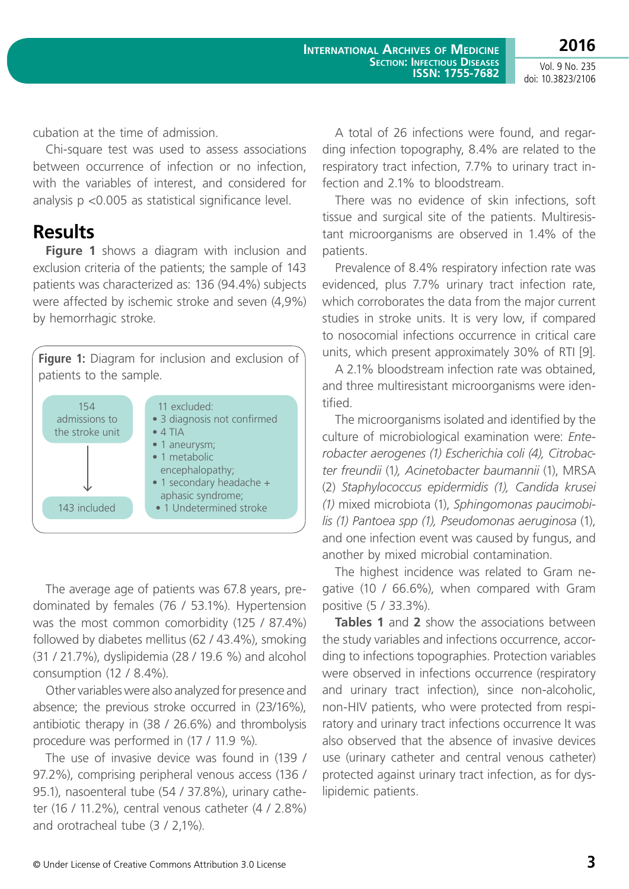**2016** Vol. 9 No. 235

doi: 10.3823/2106

cubation at the time of admission.

Chi-square test was used to assess associations between occurrence of infection or no infection, with the variables of interest, and considered for analysis p <0.005 as statistical significance level.

### **Results**

**Figure 1** shows a diagram with inclusion and exclusion criteria of the patients; the sample of 143 patients was characterized as: 136 (94.4%) subjects were affected by ischemic stroke and seven (4,9%) by hemorrhagic stroke.



The average age of patients was 67.8 years, predominated by females (76 / 53.1%). Hypertension was the most common comorbidity (125 / 87.4%) followed by diabetes mellitus (62 / 43.4%), smoking (31 / 21.7%), dyslipidemia (28 / 19.6 %) and alcohol consumption (12 / 8.4%).

Other variables were also analyzed for presence and absence; the previous stroke occurred in (23/16%), antibiotic therapy in (38 / 26.6%) and thrombolysis procedure was performed in (17 / 11.9 %).

The use of invasive device was found in (139 / 97.2%), comprising peripheral venous access (136 / 95.1), nasoenteral tube (54 / 37.8%), urinary catheter (16 / 11.2%), central venous catheter (4 / 2.8%) and orotracheal tube (3 / 2,1%).

A total of 26 infections were found, and regarding infection topography, 8.4% are related to the respiratory tract infection, 7.7% to urinary tract infection and 2.1% to bloodstream.

There was no evidence of skin infections, soft tissue and surgical site of the patients. Multiresistant microorganisms are observed in 1.4% of the patients.

Prevalence of 8.4% respiratory infection rate was evidenced, plus 7.7% urinary tract infection rate, which corroborates the data from the major current studies in stroke units. It is very low, if compared to nosocomial infections occurrence in critical care units, which present approximately 30% of RTI [9].

A 2.1% bloodstream infection rate was obtained, and three multiresistant microorganisms were identified.

The microorganisms isolated and identified by the culture of microbiological examination were: *Enterobacter aerogenes (1) Escherichia coli (4), Citrobacter freundii* (1*), Acinetobacter baumannii* (1), MRSA (2) *Staphylococcus epidermidis (1), Candida krusei (1)* mixed microbiota (1), *Sphingomonas paucimobilis (1) Pantoea spp (1), Pseudomonas aeruginosa* (1), and one infection event was caused by fungus, and another by mixed microbial contamination.

The highest incidence was related to Gram negative (10 / 66.6%), when compared with Gram positive (5 / 33.3%).

**Tables 1** and **2** show the associations between the study variables and infections occurrence, according to infections topographies. Protection variables were observed in infections occurrence (respiratory and urinary tract infection), since non-alcoholic, non-HIV patients, who were protected from respiratory and urinary tract infections occurrence It was also observed that the absence of invasive devices use (urinary catheter and central venous catheter) protected against urinary tract infection, as for dyslipidemic patients.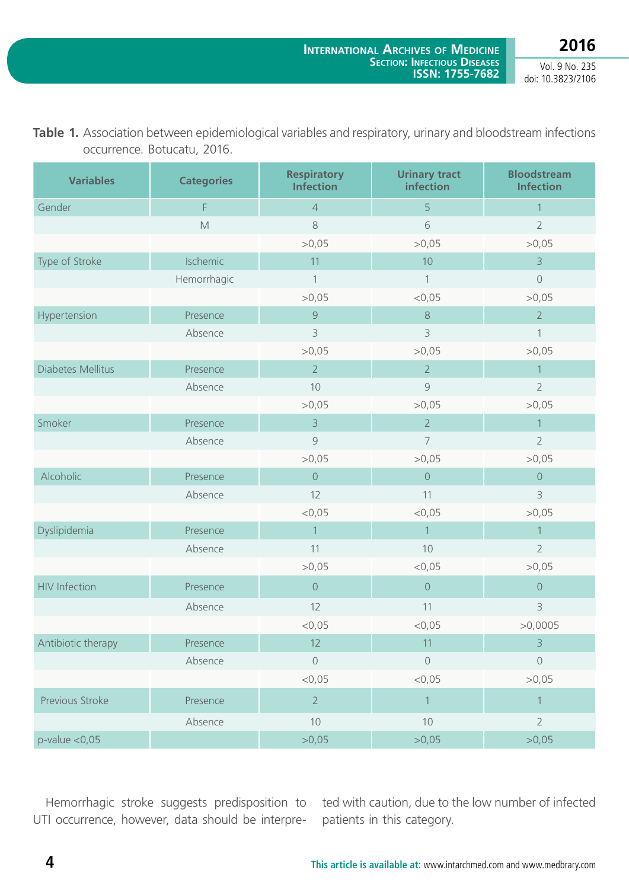**2016**

Vol. 9 No. 235 doi: 10.3823/2106

| <b>Variables</b>     | <b>Categories</b> | <b>Respiratory</b><br><b>Infection</b> | <b>Urinary tract</b><br>infection | <b>Bloodstream</b><br><b>Infection</b> |
|----------------------|-------------------|----------------------------------------|-----------------------------------|----------------------------------------|
| Gender               | F                 | $\overline{4}$                         | 5                                 | $\mathbf{1}$                           |
|                      | M                 | 8                                      | 6                                 | $\overline{2}$                         |
|                      |                   | >0,05                                  | >0,05                             | >0,05                                  |
| Type of Stroke       | Ischemic          | 11                                     | 10                                | $\overline{3}$                         |
|                      | Hemorrhagic       | $\mathbf{1}$                           | $\mathbf{1}$                      | $\mathsf{O}$                           |
|                      |                   | >0,05                                  | $<$ 0,05                          | >0,05                                  |
| Hypertension         | Presence          | $\overline{9}$                         | $\,8\,$                           | $\overline{2}$                         |
|                      | Absence           | 3                                      | $\overline{3}$                    | $\mathbf{1}$                           |
|                      |                   | >0,05                                  | >0,05                             | >0,05                                  |
| Diabetes Mellitus    | Presence          | $2^{\circ}$                            | $\overline{2}$                    | $\mathbf{1}$                           |
|                      | Absence           | 10                                     | 9                                 | $\overline{2}$                         |
|                      |                   | >0,05                                  | >0,05                             | >0,05                                  |
| Smoker               | Presence          | $\overline{3}$                         | $\overline{2}$                    | $\overline{1}$                         |
|                      | Absence           | 9                                      | $\overline{7}$                    | $\overline{2}$                         |
|                      |                   | >0,05                                  | >0,05                             | >0,05                                  |
| Alcoholic            | Presence          | $\mathsf{O}$                           | $\circ$                           | $\mathsf{O}$                           |
|                      | Absence           | 12                                     | 11                                | $\overline{3}$                         |
|                      |                   | $<$ 0,05                               | $<$ 0,05                          | >0,05                                  |
| Dyslipidemia         | Presence          | $\overline{1}$                         | $\mathbf{1}$                      | $\overline{1}$                         |
|                      | Absence           | 11                                     | 10                                | $\overline{2}$                         |
|                      |                   | >0,05                                  | $<$ 0,05                          | >0,05                                  |
| <b>HIV Infection</b> | Presence          | $\mathsf{O}$                           | $\circ$                           | $\mathsf{O}\xspace$                    |
|                      | Absence           | 12                                     | 11                                | $\mathsf 3$                            |
|                      |                   | $<$ 0,05                               | $<$ 0,05                          | >0,0005                                |
| Antibiotic therapy   | Presence          | 12                                     | 11                                | $\overline{3}$                         |
|                      | Absence           | $\mathbf 0$                            | $\sqrt{a}$                        | $\mathsf{O}$                           |
|                      |                   | $<$ 0,05                               | $<$ 0,05                          | >0,05                                  |
| Previous Stroke      | Presence          | $\overline{2}$                         | $\mathbf{1}$                      | 1                                      |
|                      | Absence           | 10                                     | 10                                | $\overline{2}$                         |
| $p$ -value < $0,05$  |                   | >0,05                                  | >0,05                             | >0,05                                  |

Table 1. Association between epidemiological variables and respiratory, urinary and bloodstream infections occurrence. Botucatu, 2016.

Hemorrhagic stroke suggests predisposition to UTI occurrence, however, data should be interpreted with caution, due to the low number of infected patients in this category.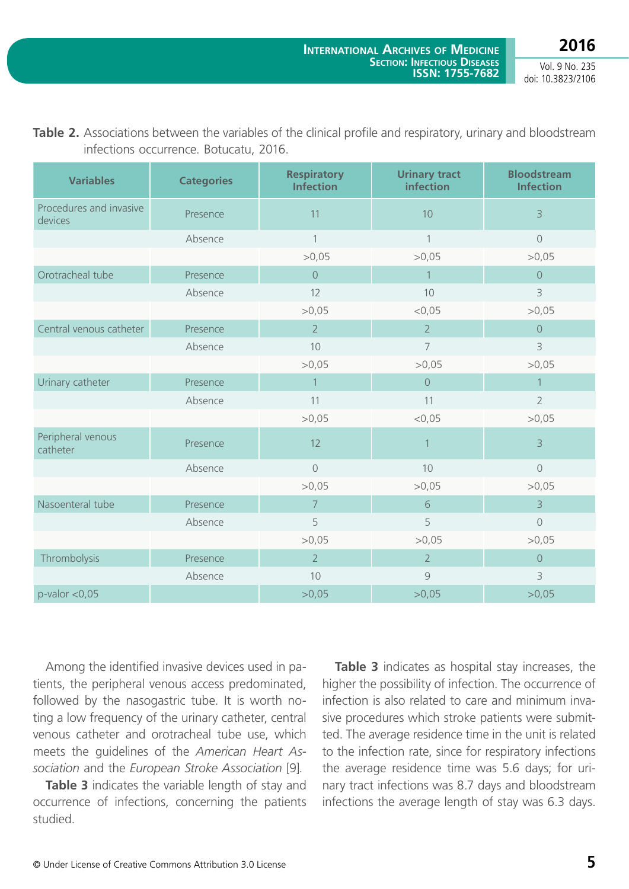**2016**

Vol. 9 No. 235 doi: 10.3823/2106

| <b>Variables</b>                   | <b>Categories</b> | <b>Respiratory</b><br><b>Infection</b> | <b>Urinary tract</b><br>infection | <b>Bloodstream</b><br><b>Infection</b> |
|------------------------------------|-------------------|----------------------------------------|-----------------------------------|----------------------------------------|
| Procedures and invasive<br>devices | Presence          | 11                                     | 10                                | $\overline{3}$                         |
|                                    | Absence           | $\mathbf{1}$                           | 1                                 | $\sqrt{a}$                             |
|                                    |                   | >0,05                                  | >0,05                             | >0,05                                  |
| Orotracheal tube                   | Presence          | $\overline{0}$                         | $\mathbf{1}$                      | $\overline{0}$                         |
|                                    | Absence           | 12                                     | 10                                | 3                                      |
|                                    |                   | >0,05                                  | < 0.05                            | >0,05                                  |
| Central venous catheter            | Presence          | $\overline{2}$                         | $\overline{2}$                    | $\mathsf{O}$                           |
|                                    | Absence           | 10                                     | $\overline{7}$                    | 3                                      |
|                                    |                   | >0,05                                  | >0,05                             | >0,05                                  |
| Urinary catheter                   | Presence          | $\overline{1}$                         | $\overline{0}$                    | $\mathbf{1}$                           |
|                                    | Absence           | 11                                     | 11                                | $\overline{2}$                         |
|                                    |                   | >0,05                                  | $<$ 0,05                          | >0,05                                  |
| Peripheral venous<br>catheter      | Presence          | 12                                     | 1                                 | $\overline{3}$                         |
|                                    | Absence           | $\circledcirc$                         | 10                                | $\circledcirc$                         |
|                                    |                   | >0,05                                  | >0,05                             | >0,05                                  |
| Nasoenteral tube                   | Presence          | $\overline{7}$                         | 6                                 | $\overline{3}$                         |
|                                    | Absence           | 5                                      | 5                                 | $\sqrt{a}$                             |
|                                    |                   | >0,05                                  | >0,05                             | >0,05                                  |
| Thrombolysis                       | Presence          | $\overline{2}$                         | $\overline{2}$                    | $\overline{O}$                         |
|                                    | Absence           | 10                                     | $\mathcal{G}$                     | 3                                      |
| $p$ -valor < $0,05$                |                   | >0,05                                  | >0,05                             | >0,05                                  |
|                                    |                   |                                        |                                   |                                        |

**Table 2.** Associations between the variables of the clinical profile and respiratory, urinary and bloodstream infections occurrence. Botucatu, 2016.

Among the identified invasive devices used in patients, the peripheral venous access predominated, followed by the nasogastric tube. It is worth noting a low frequency of the urinary catheter, central venous catheter and orotracheal tube use, which meets the guidelines of the *American Heart Association* and the *European Stroke Association* [9]*.*

**Table 3** indicates the variable length of stay and occurrence of infections, concerning the patients studied.

**Table 3** indicates as hospital stay increases, the higher the possibility of infection. The occurrence of infection is also related to care and minimum invasive procedures which stroke patients were submitted. The average residence time in the unit is related to the infection rate, since for respiratory infections the average residence time was 5.6 days; for urinary tract infections was 8.7 days and bloodstream infections the average length of stay was 6.3 days.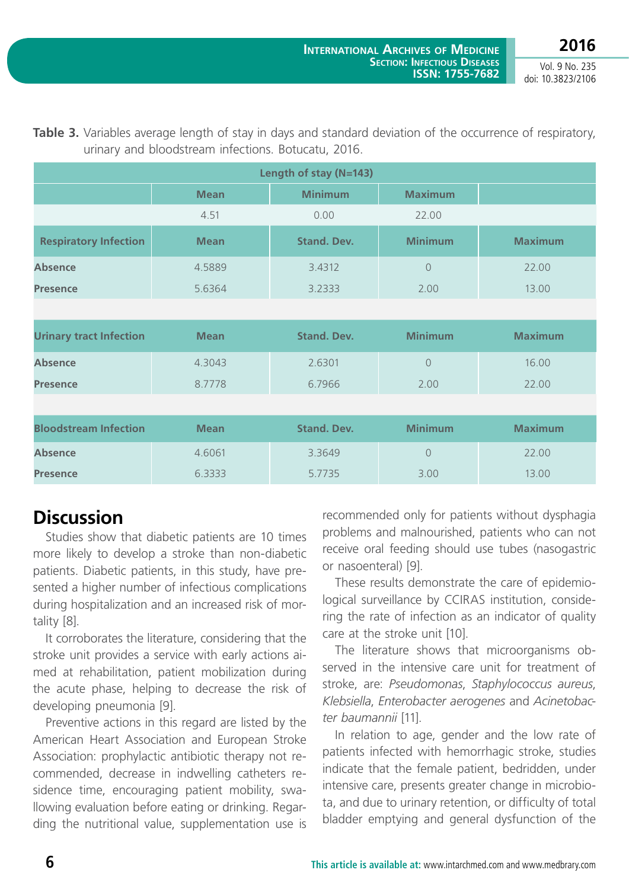**2016** Vol. 9 No. 235

doi: 10.3823/2106

| Length of stay (N=143)         |             |                    |                |                |  |  |  |
|--------------------------------|-------------|--------------------|----------------|----------------|--|--|--|
|                                | <b>Mean</b> | <b>Minimum</b>     | <b>Maximum</b> |                |  |  |  |
|                                | 4.51        | 0.00               | 22.00          |                |  |  |  |
| <b>Respiratory Infection</b>   | <b>Mean</b> | <b>Stand. Dev.</b> | <b>Minimum</b> | <b>Maximum</b> |  |  |  |
| <b>Absence</b>                 | 4.5889      | 3.4312             | $\overline{O}$ | 22.00          |  |  |  |
| <b>Presence</b>                | 5.6364      | 3.2333             | 2.00           | 13.00          |  |  |  |
|                                |             |                    |                |                |  |  |  |
| <b>Urinary tract Infection</b> | <b>Mean</b> | <b>Stand. Dev.</b> | <b>Minimum</b> | <b>Maximum</b> |  |  |  |
| <b>Absence</b>                 | 4.3043      | 2.6301             | $\sqrt{a}$     | 16.00          |  |  |  |
| <b>Presence</b>                | 8.7778      | 6.7966             | 2.00           | 22.00          |  |  |  |
|                                |             |                    |                |                |  |  |  |
| <b>Bloodstream Infection</b>   | <b>Mean</b> | <b>Stand. Dev.</b> | <b>Minimum</b> | <b>Maximum</b> |  |  |  |
| <b>Absence</b>                 | 4.6061      | 3.3649             | $\overline{O}$ | 22.00          |  |  |  |
| <b>Presence</b>                | 6.3333      | 5.7735             | 3.00           | 13.00          |  |  |  |

#### **Table 3.** Variables average length of stay in days and standard deviation of the occurrence of respiratory, urinary and bloodstream infections. Botucatu, 2016.

### **Discussion**

Studies show that diabetic patients are 10 times more likely to develop a stroke than non-diabetic patients. Diabetic patients, in this study, have presented a higher number of infectious complications during hospitalization and an increased risk of mortality [8].

It corroborates the literature, considering that the stroke unit provides a service with early actions aimed at rehabilitation, patient mobilization during the acute phase, helping to decrease the risk of developing pneumonia [9].

Preventive actions in this regard are listed by the American Heart Association and European Stroke Association: prophylactic antibiotic therapy not recommended, decrease in indwelling catheters residence time, encouraging patient mobility, swallowing evaluation before eating or drinking. Regarding the nutritional value, supplementation use is recommended only for patients without dysphagia problems and malnourished, patients who can not receive oral feeding should use tubes (nasogastric or nasoenteral) [9].

These results demonstrate the care of epidemiological surveillance by CCIRAS institution, considering the rate of infection as an indicator of quality care at the stroke unit [10].

The literature shows that microorganisms observed in the intensive care unit for treatment of stroke, are: *Pseudomonas*, *Staphylococcus aureus*, *Klebsiella*, *Enterobacter aerogenes* and *Acinetobacter baumannii* [11].

In relation to age, gender and the low rate of patients infected with hemorrhagic stroke, studies indicate that the female patient, bedridden, under intensive care, presents greater change in microbiota, and due to urinary retention, or difficulty of total bladder emptying and general dysfunction of the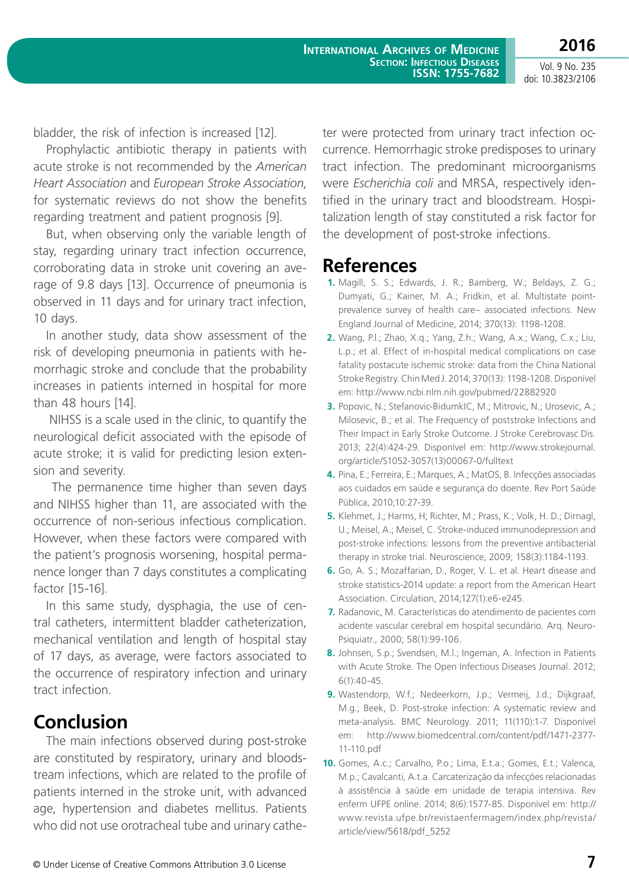**International Archives of Medicine Section: Infectious Diseases ISSN: 1755-7682**

Vol. 9 No. 235 doi: 10.3823/2106

**2016**

bladder, the risk of infection is increased [12].

Prophylactic antibiotic therapy in patients with acute stroke is not recommended by the *American Heart Association* and *European Stroke Association*, for systematic reviews do not show the benefits regarding treatment and patient prognosis [9].

But, when observing only the variable length of stay, regarding urinary tract infection occurrence, corroborating data in stroke unit covering an average of 9.8 days [13]. Occurrence of pneumonia is observed in 11 days and for urinary tract infection, 10 days.

In another study, data show assessment of the risk of developing pneumonia in patients with hemorrhagic stroke and conclude that the probability increases in patients interned in hospital for more than 48 hours [14].

 NIHSS is a scale used in the clinic, to quantify the neurological deficit associated with the episode of acute stroke; it is valid for predicting lesion extension and severity.

 The permanence time higher than seven days and NIHSS higher than 11, are associated with the occurrence of non-serious infectious complication. However, when these factors were compared with the patient's prognosis worsening, hospital permanence longer than 7 days constitutes a complicating factor [15-16].

In this same study, dysphagia, the use of central catheters, intermittent bladder catheterization, mechanical ventilation and length of hospital stay of 17 days, as average, were factors associated to the occurrence of respiratory infection and urinary tract infection.

### **Conclusion**

The main infections observed during post-stroke are constituted by respiratory, urinary and bloodstream infections, which are related to the profile of patients interned in the stroke unit, with advanced age, hypertension and diabetes mellitus. Patients who did not use orotracheal tube and urinary catheter were protected from urinary tract infection occurrence. Hemorrhagic stroke predisposes to urinary tract infection. The predominant microorganisms were *Escherichia coli* and MRSA, respectively identified in the urinary tract and bloodstream. Hospitalization length of stay constituted a risk factor for the development of post-stroke infections.

### **References**

- **1.** Magill, S. S.; Edwards, J. R.; Bamberg, W.; Beldays, Z. G.; Dumyati, G.; Kainer, M. A.; Fridkin, et al. Multistate pointprevalence survey of health care– associated infections. New England Journal of Medicine, 2014; 370(13): 1198-1208.
- **2.** Wang, P.l.; Zhao, X.q.; Yang, Z.h.; Wang, A.x.; Wang, C.x.; Liu, L.p.; et al. Effect of in-hospital medical complications on case fatality postacute ischemic stroke: data from the China National Stroke Registry. Chin Med J. 2014; 370(13): 1198-1208. Disponível em:<http://www.ncbi.nlm.nih.gov/pubmed/22882920>
- **3.** Popovic, N.; Stefanovic-BidumkIC, M.; Mitrovic, N.; Urosevic, A.; Milosevic, B.; et al. The Frequency of poststroke Infections and Their Impact in Early Stroke Outcome. J Stroke Cerebrovasc Dis. 2013; 22(4):424-29. Disponível em: [http://www.strokejournal.](http://www.strokejournal.org/article/S1052-3057(13)00067-0/fulltext) [org/article/S1052-3057\(13\)00067-0/fulltext](http://www.strokejournal.org/article/S1052-3057(13)00067-0/fulltext)
- **4.** Pina, E.; Ferreira, E.; Marques, A.; MatOS, B. Infecções associadas aos cuidados em saúde e segurança do doente. Rev Port Saúde Pública, 2010;10:27-39.
- **5.** Klehmet, J.; Harms, H; Richter, M.; Prass, K.; Volk, H. D.; Dirnagl, U.; Meisel, A.; Meisel, C. Stroke-induced immunodepression and post-stroke infections: lessons from the preventive antibacterial therapy in stroke trial. Neuroscience, 2009; 158(3):1184-1193.
- **6.** Go, A. S.; Mozaffarian, D., Roger, V. L. et al. Heart disease and stroke statistics-2014 update: a report from the American Heart Association. Circulation, 2014;127(1):e6-e245.
- **7.** Radanovic, M. Características do atendimento de pacientes com acidente vascular cerebral em hospital secundário. Arq. Neuro-Psiquiatr., 2000; 58(1):99-106.
- **8.** Johnsen, S.p.; Svendsen, M.l.; Ingeman, A. Infection in Patients with Acute Stroke. The Open Infectious Diseases Journal. 2012; 6(1):40-45.
- **9.** Wastendorp, W.f.; Nedeerkorn, J.p.; Vermeij, J.d.; Dijkgraaf, M.g.; Beek, D. Post-stroke infection: A systematic review and meta-analysis. BMC Neurology. 2011; 11(110):1-7. Disponível em: http://www.biomedcentral.com/content/pdf/1471-2377- 11-110.pdf
- **10.** Gomes, A.c.; Carvalho, P.o.; Lima, E.t.a.; Gomes, E.t.; Valenca, M.p.; Cavalcanti, A.t.a. Carcaterização da infecções relacionadas à assistência à saúde em unidade de terapia intensiva. Rev enferm UFPE online. 2014; 8(6):1577-85. Disponível em: http:// www.revista.ufpe.br/revistaenfermagem/index.php/revista/ article/view/5618/pdf\_5252